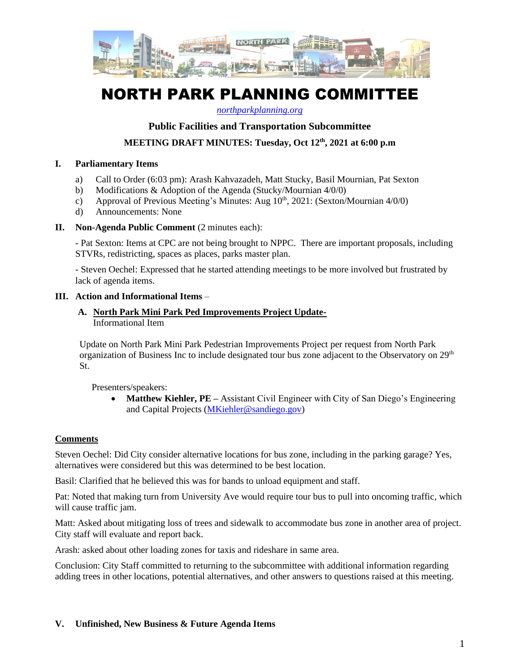

# NORTH PARK PLANNING COMMITTEE

*[northparkplanning.org](http://www.northparkplanning.org/)*

#### **Public Facilities and Transportation Subcommittee**

**MEETING DRAFT MINUTES: Tuesday, Oct 12th, 2021 at 6:00 p.m**

#### **I. Parliamentary Items**

- a) Call to Order (6:03 pm): Arash Kahvazadeh, Matt Stucky, Basil Mournian, Pat Sexton
- b) Modifications & Adoption of the Agenda (Stucky/Mournian 4/0/0)
- c) Approval of Previous Meeting's Minutes: Aug  $10^{th}$ , 2021: (Sexton/Mournian 4/0/0)
- d) Announcements: None

#### **II. Non-Agenda Public Comment** (2 minutes each):

- Pat Sexton: Items at CPC are not being brought to NPPC. There are important proposals, including STVRs, redistricting, spaces as places, parks master plan.

- Steven Oechel: Expressed that he started attending meetings to be more involved but frustrated by lack of agenda items.

#### **III. Action and Informational Items** –

## **A. North Park Mini Park Ped Improvements Project Update-**

Informational Item

Update on North Park Mini Park Pedestrian Improvements Project per request from North Park organization of Business Inc to include designated tour bus zone adjacent to the Observatory on  $29<sup>th</sup>$ St.

Presenters/speakers:

• **Matthew Kiehler, PE** – Assistant Civil Engineer with City of San Diego's Engineering and Capital Projects [\(MKiehler@sandiego.gov\)](mailto:MKiehler@sandiego.gov)

### **Comments**

Steven Oechel: Did City consider alternative locations for bus zone, including in the parking garage? Yes, alternatives were considered but this was determined to be best location.

Basil: Clarified that he believed this was for bands to unload equipment and staff.

Pat: Noted that making turn from University Ave would require tour bus to pull into oncoming traffic, which will cause traffic jam.

Matt: Asked about mitigating loss of trees and sidewalk to accommodate bus zone in another area of project. City staff will evaluate and report back.

Arash: asked about other loading zones for taxis and rideshare in same area.

Conclusion: City Staff committed to returning to the subcommittee with additional information regarding adding trees in other locations, potential alternatives, and other answers to questions raised at this meeting.